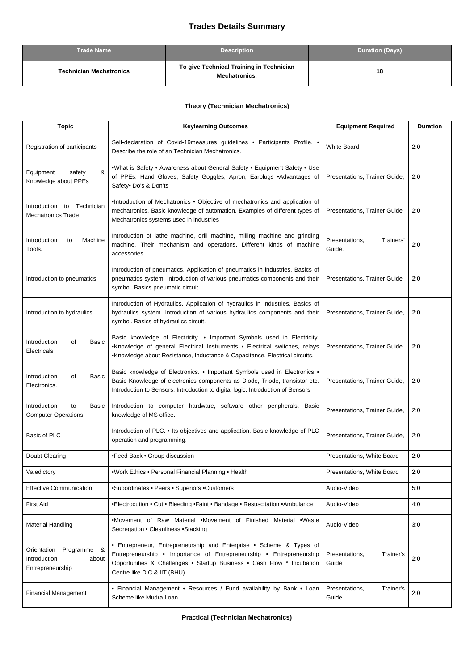## **Trades Details Summary**

| <b>Trade Name</b>              | <b>Description</b>                                               | <b>Duration (Days)</b> |
|--------------------------------|------------------------------------------------------------------|------------------------|
| <b>Technician Mechatronics</b> | To give Technical Training in Technician<br><b>Mechatronics.</b> | 18                     |

## **Theory (Technician Mechatronics)**

| <b>Topic</b>                                                            | <b>Keylearning Outcomes</b>                                                                                                                                                                                                                          | <b>Equipment Required</b>             | <b>Duration</b> |
|-------------------------------------------------------------------------|------------------------------------------------------------------------------------------------------------------------------------------------------------------------------------------------------------------------------------------------------|---------------------------------------|-----------------|
| Registration of participants                                            | Self-declaration of Covid-19measures guidelines • Participants Profile. •<br>Describe the role of an Technician Mechatronics.                                                                                                                        | <b>White Board</b>                    | 2:0             |
| Equipment<br>&<br>safety<br>Knowledge about PPEs                        | •What is Safety • Awareness about General Safety • Equipment Safety • Use<br>of PPEs: Hand Gloves, Safety Goggles, Apron, Earplugs .Advantages of<br>Safety• Do's & Don'ts                                                                           | Presentations, Trainer Guide,         | 2:0             |
| Technician<br>Introduction to<br><b>Mechatronics Trade</b>              | •Introduction of Mechatronics • Objective of mechatronics and application of<br>mechatronics. Basic knowledge of automation. Examples of different types of<br>Mechatronics systems used in industries                                               | Presentations, Trainer Guide          | 2:0             |
| Introduction<br>Machine<br>to<br>Tools.                                 | Introduction of lathe machine, drill machine, milling machine and grinding<br>machine, Their mechanism and operations. Different kinds of machine<br>accessories.                                                                                    | Presentations,<br>Trainers'<br>Guide. | 2:0             |
| Introduction to pneumatics                                              | Introduction of pneumatics. Application of pneumatics in industries. Basics of<br>pneumatics system. Introduction of various pneumatics components and their<br>symbol. Basics pneumatic circuit.                                                    | <b>Presentations, Trainer Guide</b>   | 2:0             |
| Introduction to hydraulics                                              | Introduction of Hydraulics. Application of hydraulics in industries. Basics of<br>hydraulics system. Introduction of various hydraulics components and their<br>symbol. Basics of hydraulics circuit.                                                | Presentations, Trainer Guide,         | 2:0             |
| Introduction<br>of<br>Basic<br>Electricals                              | Basic knowledge of Electricity. . Important Symbols used in Electricity.<br>•Knowledge of general Electrical Instruments • Electrical switches, relays<br>•Knowledge about Resistance, Inductance & Capacitance. Electrical circuits.                | Presentations, Trainer Guide.         | 2:0             |
| Introduction<br>of<br>Basic<br>Electronics.                             | Basic knowledge of Electronics. • Important Symbols used in Electronics •<br>Basic Knowledge of electronics components as Diode, Triode, transistor etc.<br>Introduction to Sensors. Introduction to digital logic. Introduction of Sensors          | Presentations, Trainer Guide,         | 2:0             |
| Introduction<br>to<br>Basic<br>Computer Operations.                     | Introduction to computer hardware, software other peripherals. Basic<br>knowledge of MS office.                                                                                                                                                      | Presentations, Trainer Guide,         | 2:0             |
| Basic of PLC                                                            | Introduction of PLC. • Its objectives and application. Basic knowledge of PLC<br>operation and programming.                                                                                                                                          | Presentations, Trainer Guide,         | 2:0             |
| Doubt Clearing                                                          | •Feed Back • Group discussion                                                                                                                                                                                                                        | Presentations, White Board            | 2:0             |
| Valedictory                                                             | •Work Ethics • Personal Financial Planning • Health                                                                                                                                                                                                  | Presentations, White Board            | 2:0             |
| <b>Effective Communication</b>                                          | •Subordinates • Peers • Superiors • Customers                                                                                                                                                                                                        | Audio-Video                           | 5:0             |
| <b>First Aid</b>                                                        | •Electrocution • Cut • Bleeding • Faint • Bandage • Resuscitation • Ambulance                                                                                                                                                                        | Audio-Video                           | 4:0             |
| <b>Material Handling</b>                                                | •Movement of Raw Material •Movement of Finished Material •Waste<br>Segregation . Cleanliness . Stacking                                                                                                                                              | Audio-Video                           | 3:0             |
| Orientation<br>Programme &<br>Introduction<br>about<br>Entrepreneurship | • Entrepreneur, Entrepreneurship and Enterprise • Scheme & Types of<br>Entrepreneurship • Importance of Entrepreneurship • Entrepreneurship<br>Opportunities & Challenges . Startup Business . Cash Flow * Incubation<br>Centre like DIC & IIT (BHU) | Presentations,<br>Trainer's<br>Guide  | 2:0             |
| <b>Financial Management</b>                                             | • Financial Management • Resources / Fund availability by Bank • Loan<br>Scheme like Mudra Loan                                                                                                                                                      | Presentations,<br>Trainer's<br>Guide  | 2:0             |